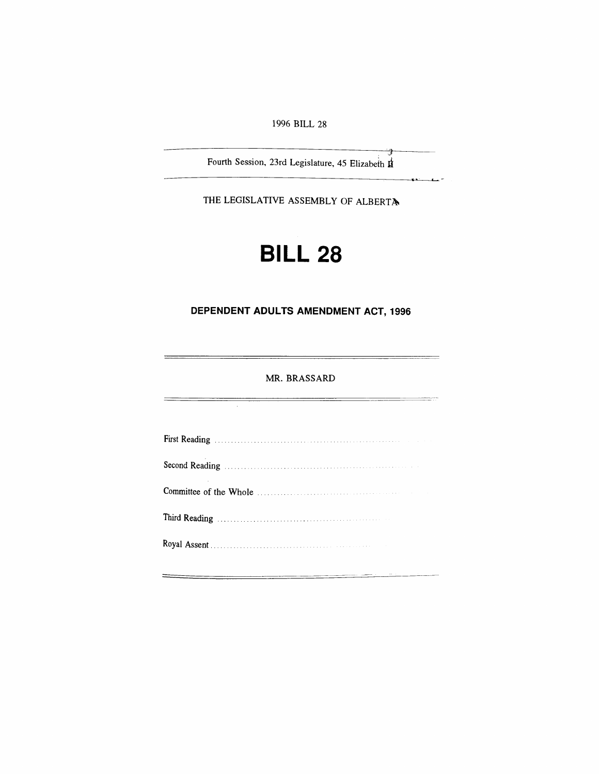*1996 BILL 28*

*Fourth Session, 23rd Legislature, 45 Elizabeth*

*THE LEGISLATIVE ASSEMBLY OF ALBERTA*

# *BILL 28*

# *DEPENDENT ADULTS AMENDMENT ACT, 1996*

# *MR. BRASSARD*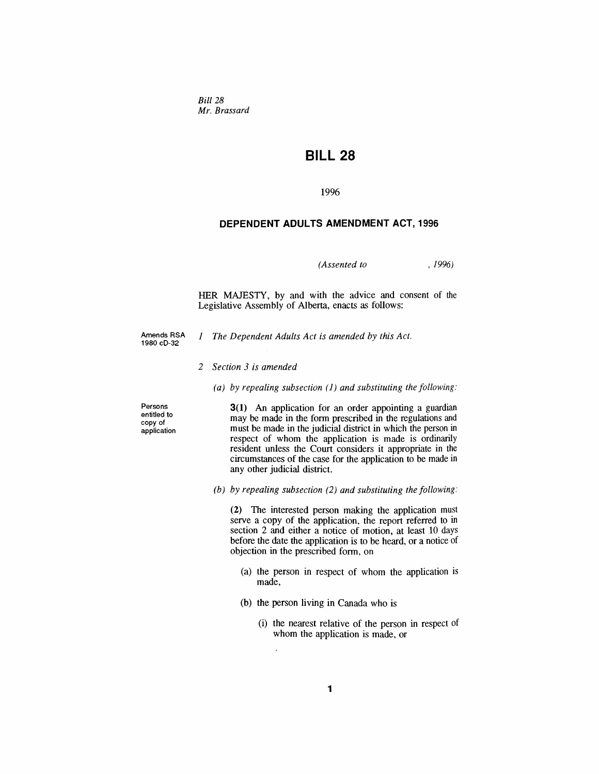*Bill 28 Mr. Brassard*

# *BILL 28*

*1996*

## *DEPENDENT ADULTS AMENDMENT ACT, 1996*

*(Assented to , 1996)*

*HER MAJESTY, by and with the advice and consent of the Legislative Assembly of Alberta, enacts as follows:*

- *Amends RSA 1980 cD-32*
- *1 The Dependent Adults Act is amended by this Act.*
- *2 Section 3 is amended*
	- *(a) by repealing subsection (1) and substituting the following:*

*Persons entitled to copy of application* *3(1) An application for an order appointing a guardian may be made in the form prescribed in the regulations and must be made in the judicial district in which the person in respect of whom the application is made is ordinarily resident unless the Court considers it appropriate in the circumstances of the case for the application to be made in any other judicial district.*

*(b) by repealing subsection (2) and substituting the following:*

*(2) The interested person making the application must serve a copy of the application, the report referred to in section 2 and either a notice of motion, at least 10 days before the date the application is to be heard, or a notice of objection in the prescribed form, on*

- *(a) the person in respect of whom the application is made,*
- *(b) the person living in Canada who is*
	- *(i) the nearest relative of the person in respect of whom the application is made, or*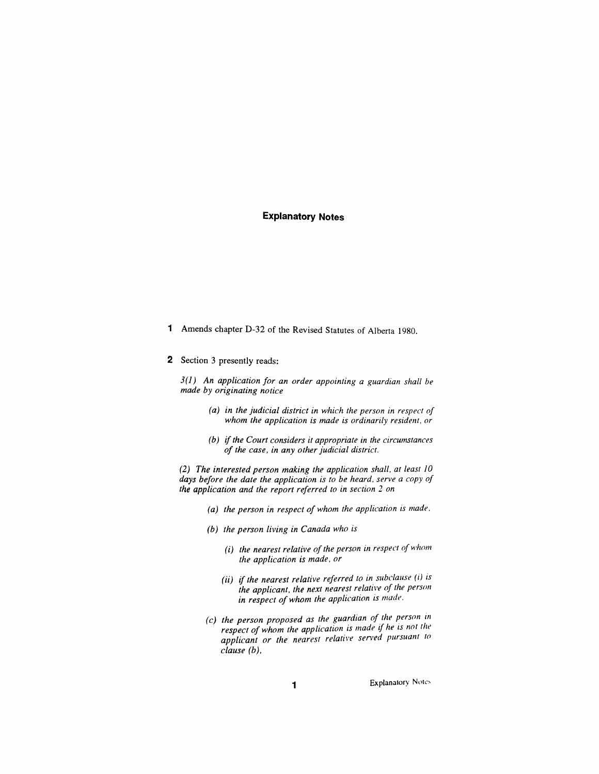# *Explanatory Notes*

- *<sup>1</sup> Amends chapter D-32 of the Revised Statutes of Alberta 1980.*
- *2 Section 3 presently reads:*

*3(1) An application for an order appointing a guardian shall be made by originating notice*

- *(a) in the judicial district in which the person in respect of whom the application is made is ordinarily resident, or*
- *(b) ifthe Court considers it appropriate in the circumstances of the case, in any otherjudicial district.*

*(2) The interested person making the application shall, at least 10 days before the date the application is to be heard, serve a copy of the application and the report referred to in section 2 on*

- *(a) the person in respect of whom the application is made,*
- *(b) the person living in Canada who is*
	- *(i) the nearest relative ofthe person in respect ofwhom the application is made, or*
	- *(ii) if the nearest relative referred to in subclause (i) is the applicant, the next nearest relative of the person in respect ofwhom the application is made.*
- *(c) the person proposed as the guardian of the person in respect ofwhom the application is made if he is not the applicant or the nearest relative served pursuant to clause (b),*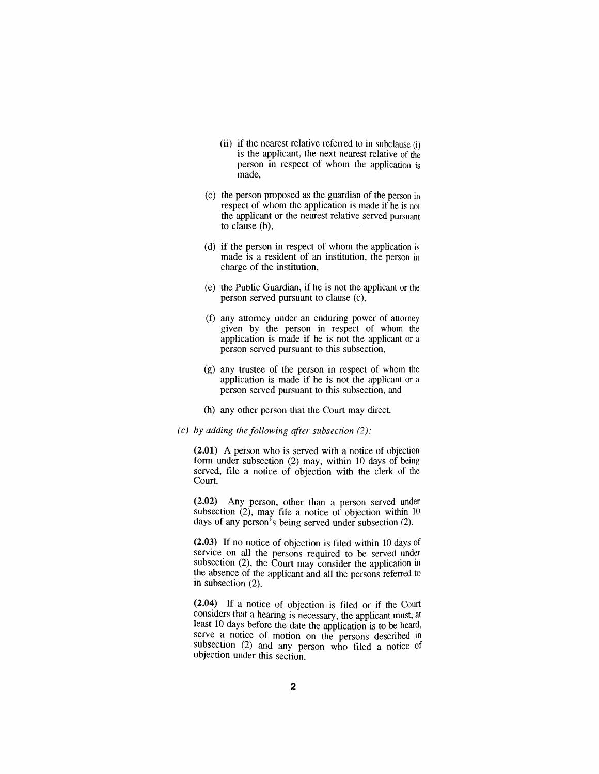- *(ii) if the nearest relative referred to in subclause (i) is the applicant, the next nearest relative of the person in respect of whom the application is made,*
- *(c) the person proposed as the guardian of the person in respect of whom the application is made if he is not the applicant or the nearest relative served pursuant to clause (b),*
- *(d) if the person in respect of whom the application is made is a resident of an institution, the person in charge of the institution,*
- *(e) the Public Guardian, if he is not the applicant or the person served pursuant to clause (c),*
- *(f) any attorney under an enduring power of attorney given by the person in respect of whom the application is made if he is not the applicant or a person served pursuant to this subsection,*
- *(g) any trustee of the person in respect of whom the application is made if he is not the applicant or a person served pursuant to this subsection, and*
- *(h) any other person that the Court may direct.*
- *(c) by adding the following after subsection (2):*

*(2.01) A person who is served with a notice of objection form under subsection (2) may, within 10 days of being served, file a notice of objection with the clerk of the Court.*

*(2.02) Any person, other than a person served under subsection (2), may file a notice of objection within <sup>10</sup> days of any person's being served under subsection (2).*

*(2.03) If no notice of objection is filed within 10 days of service on all the persons required to be served under subsection (2), the Court may consider the application in the absence of the applicant and all the persons referred to in subsection (2).*

*(2.04) If a notice of objection is filed or if the Court considers that a hearing is necessary, the applicant must, at least 10 days before the date the application is to be heard, serve a notice of motion on the persons described in subsection (2) and any person who filed a notice of objection under this section.*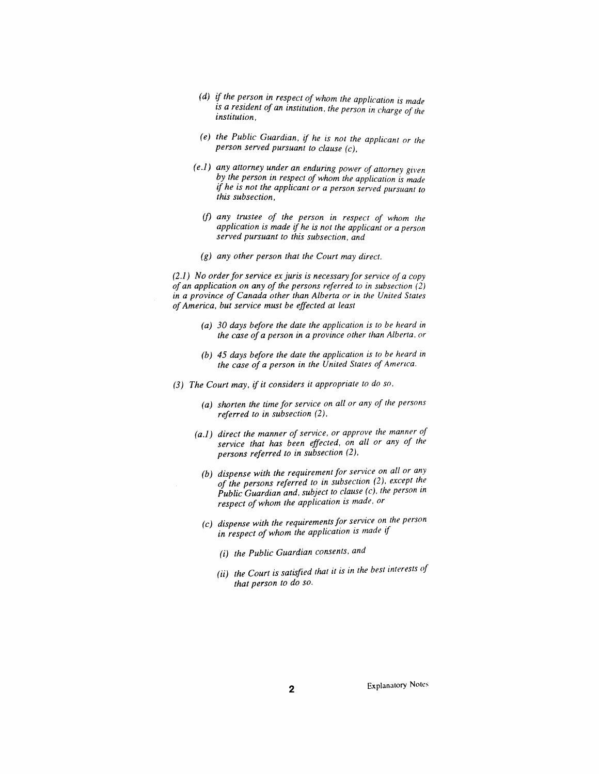- *(d) if the person in respect ofwhom the application is made is a resident of an institution, the person in charge of the institution,*
- *(e) the Public Guardian, if he is not the applicant or the person served pursuant to clause (c),*
- *(e.1) any attorney under an enduring power of attorney given by the person in respect ofwhom the application is made if he is not the applicant or a person served pursuant to this subsection,*
	- *(f) any trustee of the person in respect of whom the application is made if he is not the applicant or a person served pursuant to this subsection, and*
	- *(g) any other person that the Court may direct.*

*(2.1) No orderfor service ex juris is necessary for service of a copy of an application on any of the persons referred to in subsection (2) in a province of Canada other than Alberta or in the United States ofAmerica, but service must be effected at least*

- *(a) 30 days before the date the application is to be heard in the case of a person in a province other than Alberta, or*
- *(b) 45 days before the date the application is to be heard in the case of a person in the United States of America.*
- *(3) The Court may, if it considers it appropriate to do so,*
	- *(a) shorten the time for service on all or any of the persons referred to in subsection (2),*
	- *(a.1) direct the manner ofservice, or approve the manner of service that has been effected, on all or any of the persons referred to in subsection (2),*
		- *(b) dispense with the requirement for service on all or any of the persons referred to in subsection (2), except the Public Guardian and, subject to clause (c), the person in respect ofwhom the application is made, or*
		- *(c) dispense with the requirementsfor service on the person in respect ofwhom the application is made if*
			- *(i) the Public Guardian consents, and*
			- *(ii) the Court is satisfied that it is in the best interests of that person to do so.*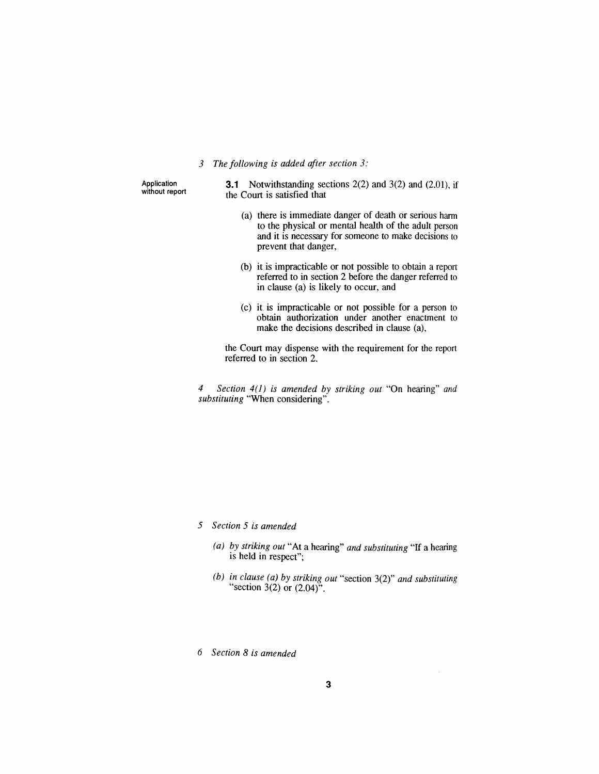### *3 The following is added after section 3:*

*Application without report* *3.1 Notwithstanding sections 2(2) and 3(2) and (2.01), if the Court is satisfied that*

- *(a) there is immediate danger of death or serious harm to the physical or mental health of the adult person and it is necessary for someone to make decisions to prevent that danger,*
- *(b) it is impracticable or not possible to obtain a report referred to in section 2 before the danger referred to in clause (a) is likely to occur, and*
- *(c) it is impracticable or not possible for a person to obtain authorization under another enactment to make the decisions described in clause (a),*

*the Court may dispense with the requirement for the report referred to in section 2.*

*4 Section 4(1) is amended by striking out "On hearing" and substituting "When considering".*

*5 Section 5 is amended*

- *(a) by striking out "At a hearing" and substituting "If a hearing is held in respect";*
- *(b) in clause (a) by striking out "section 3(2)" and substituting "section 3(2) or (2.04)".*

*6 Section 8 is amended*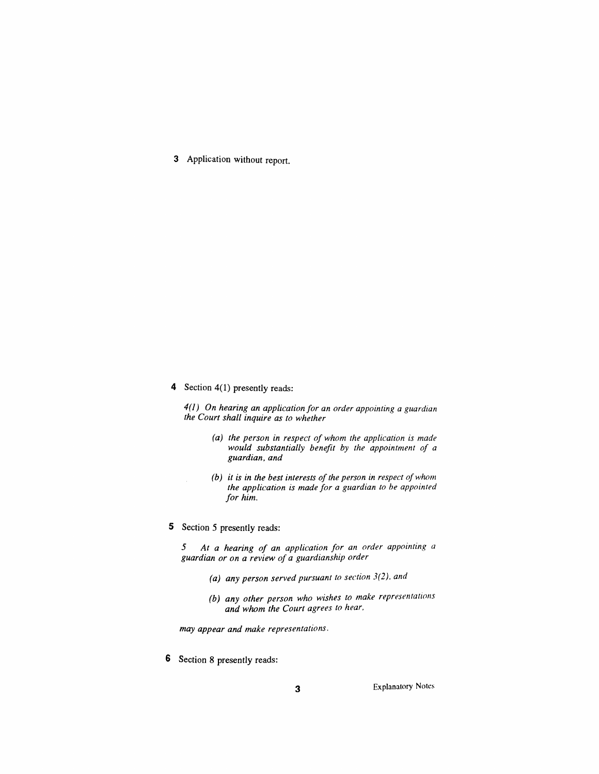*3 Application without report.*

*4 Section 4(1) presently reads:*

*4(1) On hearing an application for an order appointing a guardian the Court shall inquire as to whether*

- *(a) the person in respect of whom the application is made would substantially benefit by the appointment of a guardian, and*
- *(b) it is in the best interests ofthe person in respect ofwhom the application is made for a guardian to be appointed for him.*
- *5 Section 5 presently reads:*

*5 At a hearing of an application for an order appointing <sup>a</sup> guardian or on a review of a guardianship order*

- *(a) any person served pursuant to section 3(2), and*
- *(b) any other person who wishes to make representations and whom the Court agrees to hear,*

*may appear and make representations.*

*6 Section 8 presently reads:*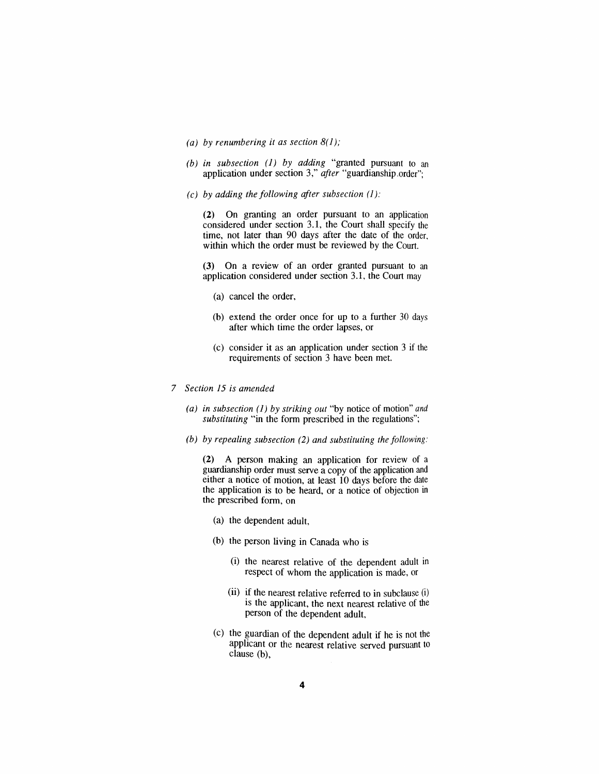- *(a) by renumbering it as section 8(1);*
- *(b) in subsection (1) by adding "granted pursuant to an application under section 3," after "guardianship order";*
- *(c) by adding the following after subsection (1):*

*(2) On granting an order pursuant to an application considered under section 3.1, the Court shall specify the time, not later than 90 days after the date of the order, within which the order must be reviewed by the Court.*

*(3) On a review of an order granted pursuant to an application considered under section 3.1, the Court may*

- *(a) cancel the order,*
- *(b) extend the order once for up to a further 30 days after which time the order lapses, or*
- *(c) consider it as an application under section 3 if the requirements of section 3 have been met.*
- *7 Section 15 is amended*
	- *(a) in subsection (1) by striking out "by notice of motion" and substituting "in the form prescribed in the regulations";*
	- *(b) by repealing subsection (2) and substituting the following:*

*(2) A person making an application for review of a guardianship order must serve a copy of the application and either a notice of motion, at least 10 days before the date the application is to be heard, or a notice of objection in the prescribed form, on*

- *(a) the dependent adult,*
- *(b) the person living in Canada who is*
	- *(i) the nearest relative of the dependent adult in respect of whom the application is made, or*
	- *(ii) if the nearest relative referred to in subclause (i) is the applicant, the next nearest relative of the person of the dependent adult,*
- *(c) the guardian of the dependent adult if he is not the applicant or the nearest relative served pursuant to clause (b),*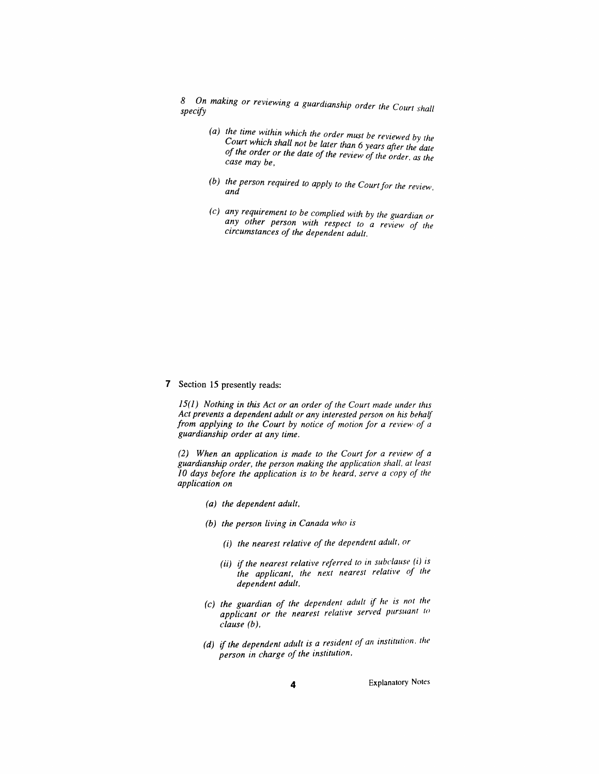*8 Ospecn mifyaking or reviewing a guardianship order the court shall*

- *(a) the time within which the order must he reviewed by the Court which shall not be later than 6 years after the date ofthe order or the date of the review of the order as the case may be,*
- *(b) the person required to apply to the Courtfor the review, and*
- *(c) any requirement to be complied with by the guardian or any other person with respect to a review of the circumstances of the dependent adult.*

*7 Section 15 presently reads:*

*15(1) Nothing in this Act or an order of the Court made under this Act prevents a dependent adult or any interested person on his behalf from applying to the Court by notice of motion for a review of a guardianship order at any time.*

*(2) When an application is made to the Court for a review of a guardianship order, the person making the application shall, at least 10 days before the application is to be heard, serve a copy of the application on*

- *(a) the dependent adult,*
- *(b) the person living in Canada who is*
	- *(i) the nearest relative of the dependent adult, or*
	- *(ii) if the nearest relative referred to in subclause (i) is the applicant, the next nearest relative of the dependent adult,*
- *(c) the guardian of the dependent adult if he is not the applicant or the nearest relative served pursuant to clause (b),*
- *(d) if the dependent adult is a resident of an institution, the person in charge of the institution,*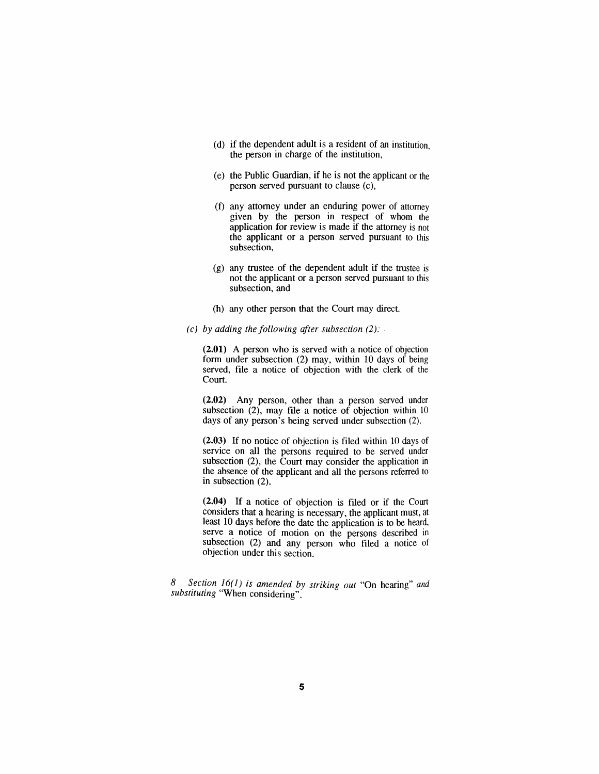- *(d) if the dependent adult is a resident of an institution, the person in charge of the institution,*
- *(e) the Public Guardian, if he is not the applicant or the person served pursuant to clause (c),*
- *(f) any attorney under an enduring power of attorney given by the person in respect of whom the application for review is made if the attorney is not the applicant or a person served pursuant to this subsection,*
- *(g) any trustee of the dependent adult if the trustee is not the applicant or a person served pursuant to this subsection, and*
- *(h) any other person that the Court may direct.*
- *(c) by adding the following after subsection (2):*

*(2.01) A person who is served with a notice of objection form under subsection (2) may, within 10 days of being served, file a notice of objection with the clerk of the Court.*

*(2.02) Any person, other than a person served under subsection (2), may file a notice of objection within <sup>10</sup> days of any person's being served under subsection (2).*

*(2.03) If no notice of objection is filed within 10 days of service on all the persons required to be served under subsection (2), the Court may consider the application in the absence of the applicant and all the persons referred to in subsection (2).*

*(2.04) If a notice of objection is filed or if the Court considers that a hearing is necessary, the applicant must, at least 10 days before the date the application is to be heard, serve a notice of motion on the persons described in subsection (2) and any person who filed a notice of objection under this section.*

*8 Section 16(1) is amended by striking out "On hearing" and substituting "When considering".*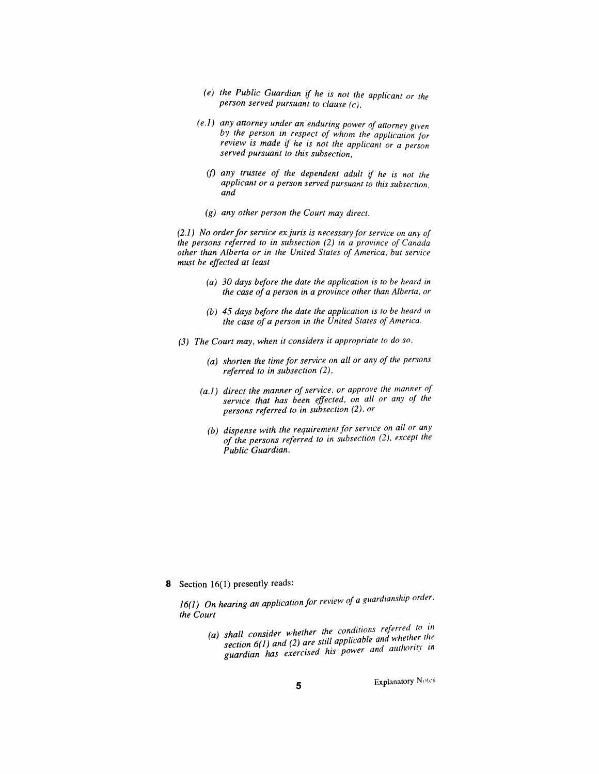- *(e) the Public Guardian if he is not the applicant or the person served pursuant to clause (c),*
- *(e.1) any attorney under an enduring power of attorney given by the person in respect of whom the application for review is made if he is not the applicant or a person served pursuant to this subsection,*
	- *(f) any trustee of the dependent adult if he is not the applicant or a person served pursuant to this subsection, and*
	- *(g) any other person the Court may direct.*

*(2.1) No orderfor service ex juris is necessary for service on any of the persons referred to in subsection (2) in a province of Canada other than Alberta or in the United States of America, but service must be effected at least*

- *(a) 30 days before the date the application is to be heard in the case of a person in a province other than Alberta, or*
- *(b) 45 days before the date the application is to be heard in the case of a person in the United States ofAmerica.*
- *(3) The Court may, when it considers it appropriate to do so,*
	- *(a) shorten the time for service on all or any of the persons referred to in subsection (2),*
	- *(a.1) direct the manner ofservice, or approve the manner of service that has been effected, on all or any of the persons referred to in subsection (2), or*
		- *(b) dispense with the requirement for service on all or any of the persons referred to in subsection (2), except the Public Guardian.*

*8 Section 16(1) presently reads:*

*16(1) On hearing an application for review of a guardianship order, the Court*

> *(a) shall consider whether the conditions referred to in section 6(1) and (2) are still applicable and whether guardian has exercised his power and authority in*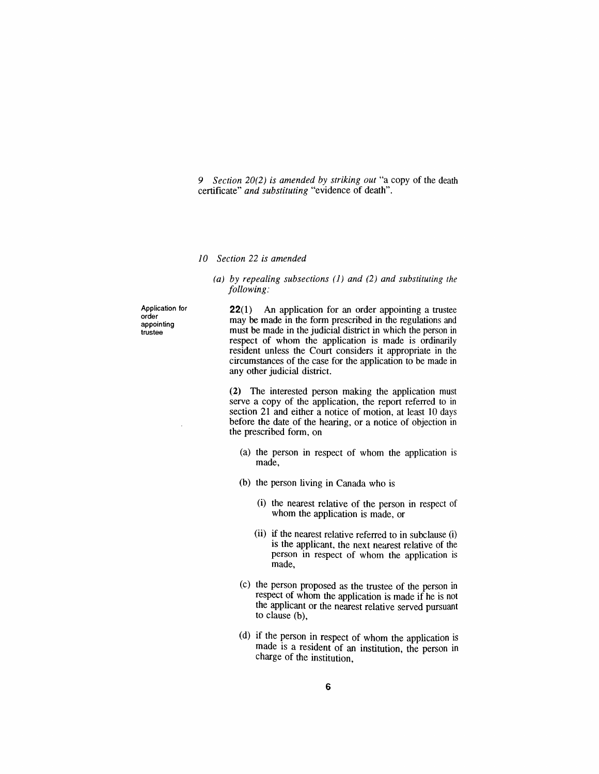*9 Section 20(2) is amended by striking out "a copy of the death certificate" and substituting "evidence of death".*

#### *10 Section 22 is amended*

#### *(a) by repealing subsections (1) and (2) and substituting the following:*

*Application for order appointing trustee*

*22(1) An application for an order appointing a trustee may be made in the form prescribed in the regulations and must be made in the judicial district in which the person in respect of whom the application is made is ordinarily resident unless the Court considers it appropriate in the circumstances of the case for the application to be made in any other judicial district.*

*(2) The interested person making the application must serve a copy of the application, the report referred to in section 21 and either a notice of motion, at least 10 days before the date of the hearing, or a notice of objection in the prescribed form, on*

- *(a) the person in respect of whom the application is made,*
- *(b) the person living in Canada who is*
	- *(i) the nearest relative of the person in respect of whom the application is made, or*
	- *(ii) if the nearest relative referred to in subclause (i) is the applicant, the next nearest relative of the person in respect of whom the application is made,*
- *(c) the person proposed as the trustee of the person in respect of whom the application is made if he is not the applicant or the nearest relative served pursuant to clause (b),*
- *(d) if the person in respect of whom the application is made is a resident of an institution, the person in charge of the institution,*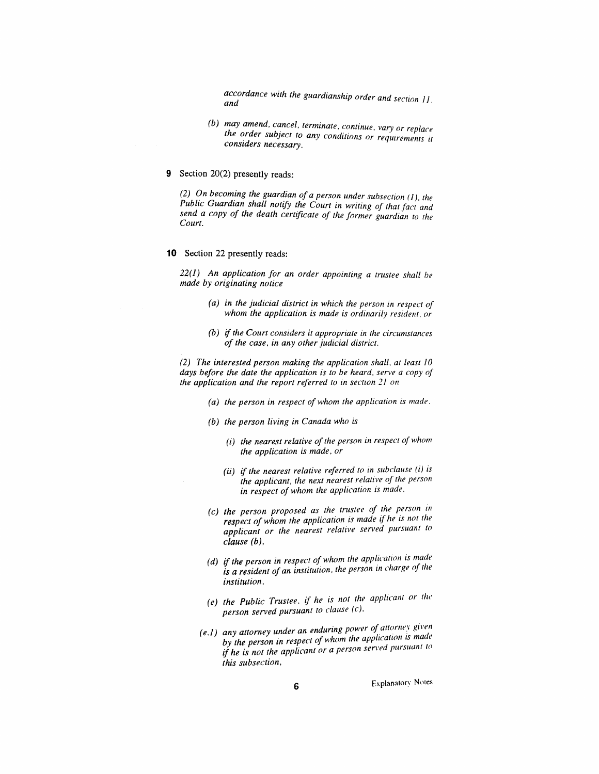*Accordance with guardianship order and section 11,and*

- *(b) may amend, cancel, terminate, continue, vary or replace the order subject to any conditions or requirements it considers necessary.*
- *9 Section 20(2) presently reads:*

*(2) On becoming the guardian ofa person under subsection (1), the Public Guardian shall notify the Court in writing of that fact and send a copy of the death certificate of the former guardian to the Court.*

*10 Section 22 presently reads:*

*22(1) An application for an order appointing a trustee shall be made by originating notice*

- *(a) in the judicial district in which the person in respect of whom the application is made is ordinarily resident, or*
- *(b) if the Court considers it appropriate in the circumstances of the case, in any otherjudicial district.*

*(2) The interested person making the application shall, at least 10 days before the date the application is to be heard, serve a copy of the application and the report referred to in section 21 on*

- *(a) the person in respect of whom the application is made.*
- *(b) the person living in Canada who is*
	- *(i) the nearest relative ofthe person in respect ofwhom the application is made, or*
	- *(ii) if the nearest relative referred to in subclause (i) is the applicant, the next nearest relative of the person in respect ofwhom the application is made,*
- *(c) the person proposed as the trustee of the person in respect ofwhom the application is made if he is not the applicant or the nearest relative served pursuant to clause (b),*
- *(d) if the person in respect ofwhom the application is made is a resident of an institution, the person in charge of the institution,*
- *(e) the Public Trustee, if he is not the applicant or the person served pursuant to clause (c),*
- *(e.1) any attorney under an enduring power of attorney given by the person in respect ofwhom the application <sup>i</sup>s mad<sup>e</sup> if he is not the applicant or a person served pursuant to this subsection,*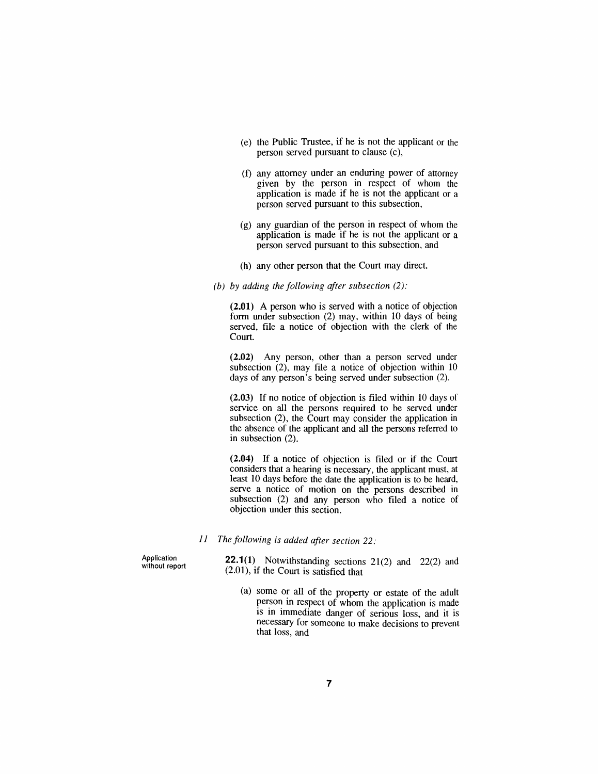- *(e) the Public Trustee, if he is not the applicant or the person served pursuant to clause (c),*
- *(f) any attorney under an enduring power of attorney given by the person in respect of whom the application is made if he is not the applicant or a person served pursuant to this subsection,*
- *(g) any guardian of the person in respect of whom the application is made if he is not the applicant or a person served pursuant to this subsection, and*
- *(h) any other person that the Court may direct.*
- *(b) by adding the following after subsection (2):*

*(2.01) A person who is served with a notice of objection form under subsection (2) may, within 10 days of being served, file a notice of objection with the clerk of the Court.*

*(2.02) Any person, other than a person served under subsection (2), may file a notice of objection within 10 days of any person's being served under subsection (2).*

*(2.03) If no notice of objection is filed within 10 days of service on all the persons required to be served under subsection (2), the Court may consider the application in the absence of the applicant and all the persons referred to in subsection (2).*

*(2.04) If a notice of objection is filed or if the Court considers that a hearing is necessary, the applicant must, at least 10 days before the date the application is to be heard, serve a notice of motion on the persons described in subsection (2) and any person who filed a notice of objection under this section.*

*11 The following is added after section 22:*

*Application without report* *22.1(1) Notwithstanding sections 21(2) and 22(2) and (2.01), if the Court is satisfied that*

*(a) some or all of the property or estate of the adult person in respect of whom the application is made is in immediate danger of serious loss, and it is necessary for someone to make decisions to prevent that loss, and*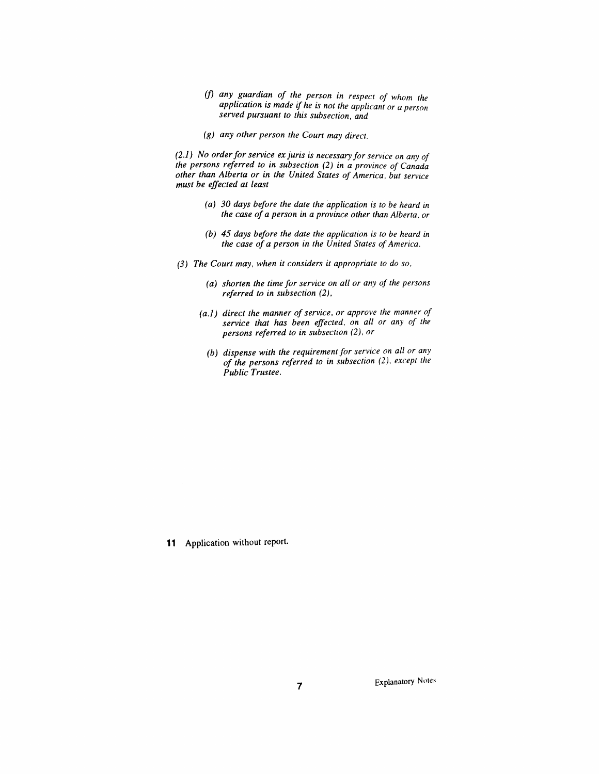- *(f) any guardian of the person in respect of whom the application is made if he is not the applicant or a person served pursuant to this subsection, and*
- *(g) any other person the Court may direct.*

*(2.1) No orderforservice ex juris is necessary for service on any of the persons referred to in subsection (2) in a province of Canada other than Alberta or in the United States of America, but service must be effected at least*

- *(a) 30 days before the date the application is to be heard in the case ofa person in a province other than Alberta, or*
- *(b) 45 days before the date the application is to be heard in the case of a person in the United States ofAmerica.*
- *(3) The Court may, when it considers it appropriate to do so,*
	- *(a) shorten the time for service on all or any of the persons referred to in subsection (2),*
	- *(a.1) direct the manner ofservice, or approve the manner of service that has been effected, on all or any of the persons referred to in subsection (2), or*
		- *(b) dispense with the requirementfor service on all or any of the persons referred to in subsection (2), except the Public Trustee.*

*11 Application without report.*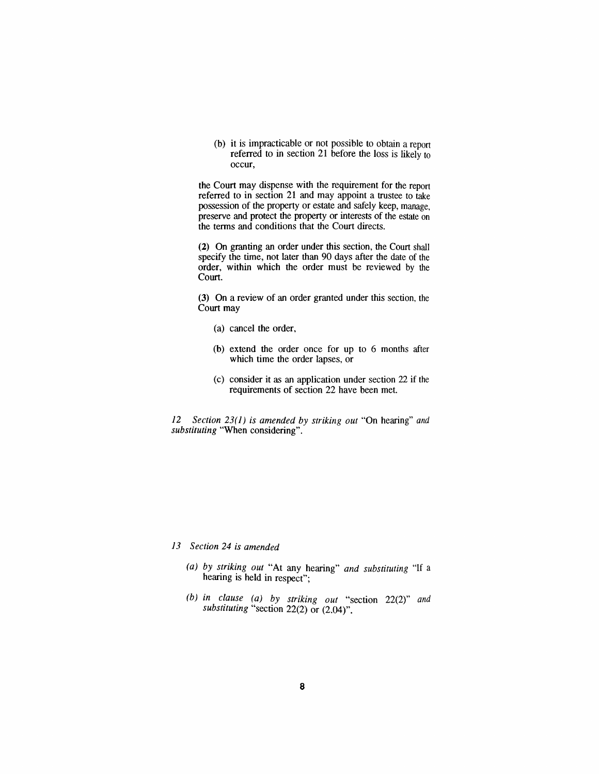*(b) it is impracticable or not possible to obtain a report referred to in section 21 before the loss is likely to occur,*

*the Court may dispense with the requirement for the report referred to in section 21 and may appoint a trustee to take possession of the property or estate and safely keep, manage, preserve and protect the property or interests of the estate on the terms and conditions that the Court directs.*

*(2) On granting an order under this section, the Court shall specify the time, not later than 90 days after the date of the order, within which the order must be reviewed by the Court.*

*(3) On a review of an order granted under this section, the Court may*

- *(a) cancel the order,*
- *(b) extend the order once for up to 6 months after which time the order lapses, or*
- *(c) consider it as an application under section 22 if the requirements of section 22 have been met.*

*12 Section 23(1) is amended by striking out "On hearing" and substituting "When considering".*

*13 Section 24 is amended*

- *(a) by striking out "At any hearing" and substituting "If a hearing is held in respect";*
- *(b) in clause (a) by striking out "section 22(2)" and substituting "section 22(2) or (2.04)".*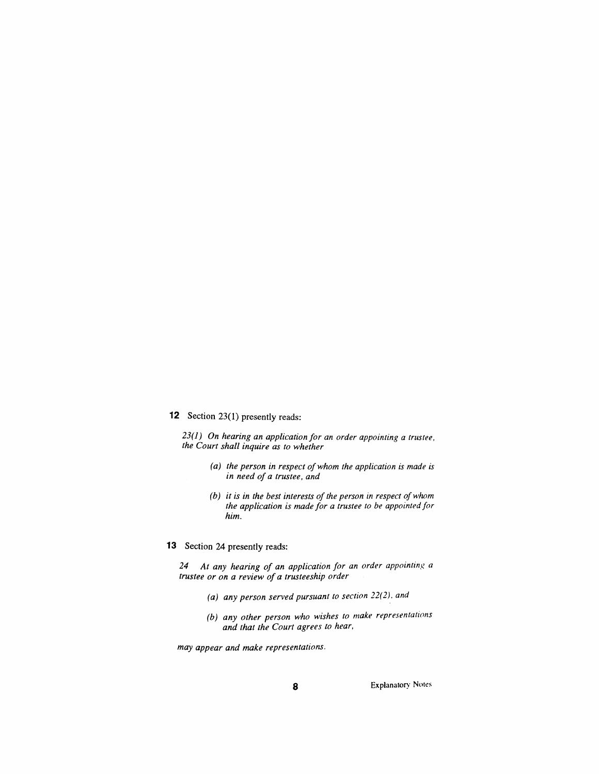## *12 Section 23(1) presently reads:*

*23(1) On hearing an application for an order appointing a trustee, the Court shall inquire as to whether*

- *(a) the person in respect ofwhom the application is made is in need of a trustee, and*
- *(b) it is in the best interests ofthe person in respect ofwhom the application is made for a trustee to be appointedfor him.*

# *13 Section 24 presently reads:*

*24 At any hearing of an application for an order appointing a trustee or on a review of a trusteeship order*

- *(a) any person served pursuant to section 22(2), and*
- *(b) any other person who wishes to make representations and that the Court agrees to hear,*

*may appear and make representations.*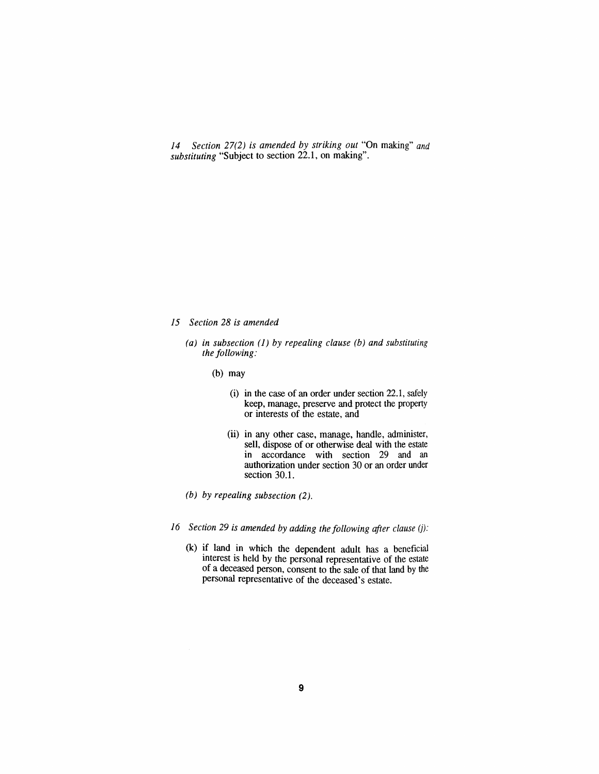*14 Section 27(2) is amended by striking out "On making" and substituting "Subject to section 22.1, on making".*

- *15 Section 28 is amended*
	- *(a) in subsection (1) by repealing clause (b) and substituting the following:*
		- *(b) may*
			- *(i) in the case of an order under section 22.1, safely keep, manage, preserve and protect the property or interests of the estate, and*
			- *(ii) in any other case, manage, handle, administer, sell, dispose of or otherwise deal with the estate in accordance with section 29 and an authorization under section 30 or an order under section 30.1.*
	- *(b) by repealing subsection (2).*
- *16 Section 29 is amended by adding the following after clause (j):*
	- *(k) if land in which the dependent adult has a beneficial interest is held by the personal representative of the estate of a deceased person, consent to the sale of that land by the personal representative of the deceased's estate.*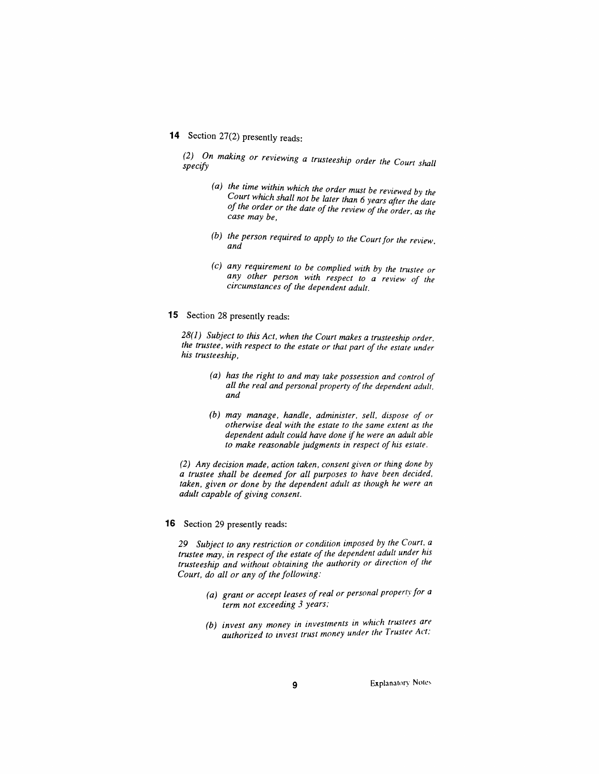# *14 Section 27(2) presently reads:*

*(2)* On making or reviewing a trusteeship order the Court shall specify

- *(a) the time within which the order must be reviewed by the Court which shall not be later than 6 years after the date ofthe order or the date of the review of the order, as the case may be,*
- *(b) the person required to apply to the Courtfor the review, and*
- *(c) any requirement to be complied with by the trustee or any other person with respect to a review of the circumstances of the dependent adult.*
- *15 Section 28 presently reads:*

*28(1) Subject to this Act, when the Court makes a trusteeship order, the trustee, with respect to the estate or that part of the estate under his trusteeship,*

- *(a) has the right to and may take possession and control of all the real and personal property ofthe dependent adult, and*
- *(b) may manage, handle, administer, sell, dispose of or otherwise deal with the estate to the same extent as the dependent adult could have done if he were an adult able to make reasonable judgments in respect of his estate.*

*(2) Any decision made, action taken, consent given or thing done by a trustee shall be deemed for all purposes to have been decided, taken, given or done by the dependent adult as though he were an adult capable of giving consent.*

#### *16 Section 29 presently reads:*

*29 Subject to any restriction or condition imposed by the Court, a trustee may, in respect ofthe estate ofthe dependent adult under his trusteeship and without obtaining the authority or direction of the Court, do all or any of the following:*

- *(a) grant or accept leases ofreal or personal property for a term not exceeding 3 years;*
- *(b) invest any money in investments in which trustees are authorized to invest trust money under the Trustee AU,*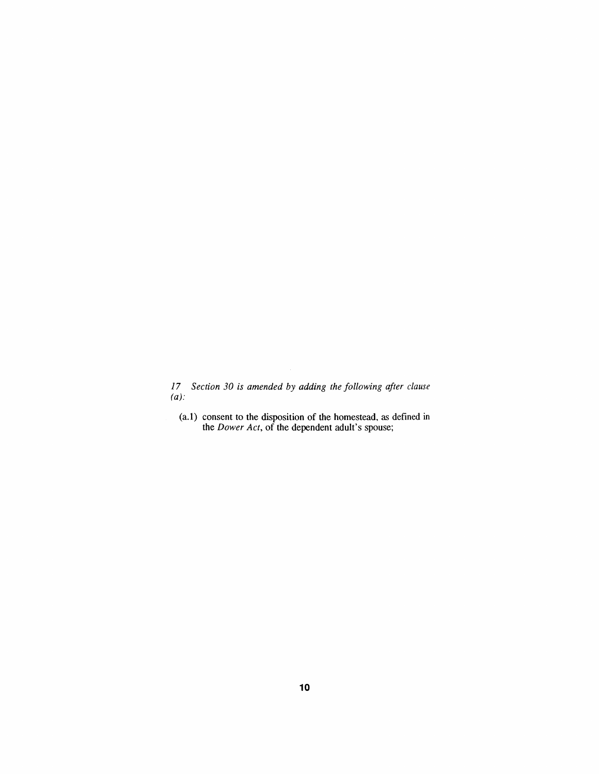*17 Section 30 is amended by adding the following after clause (a):*

*(a.1) consent to the disposition of the homestead, as defined in the Dower Act, of the dependent adult's spouse;*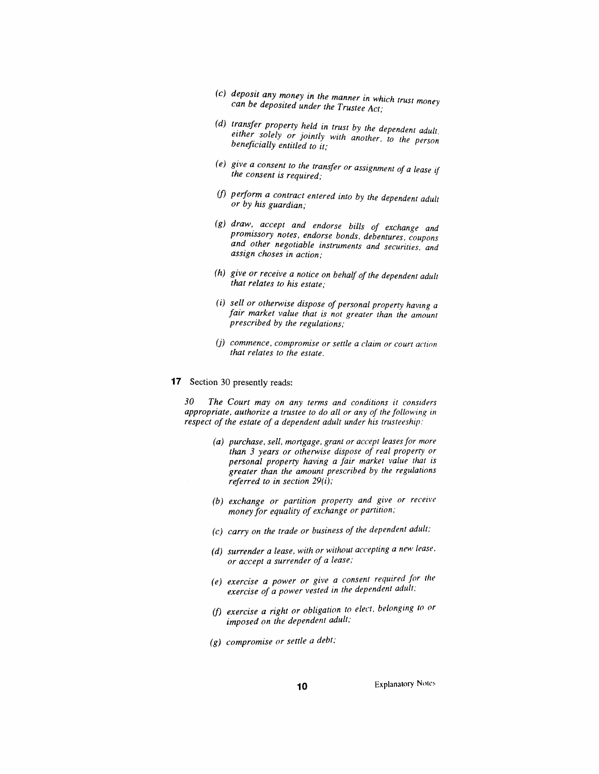- *(c) deposit any money in the manner in which trust money can be deposited under the Trustee Act;*
- (d) transfer property held in trust by the dependent adult. *either solely or jointly with another, to the person beneficially entitled to it;*
- *(e) give a consent to the transfer or assignment of a lease if the consent is required;*
- *(f) perform a contract entered into by the dependent adult or by his guardian;*
- *(g) draw, accept and endorse bills of exchange and promissory notes, endorse bonds, debentures, coupons and other negotiable instruments and securities, and assign choses in action;*
- *(h) give or receive a notice on behalf of the dependent adult that relates to his estate;*
- *(i) sell or otherwise dispose of personal property having a fair market value that is not greater than the amount prescribed by the regulations;*
- *(j) commence, compromise or settle a claim or court action that relates to the estate.*
- *17 Section 30 presently reads:*

*30 The Court may on any terms and conditions it considers appropriate, authorize a trustee to do all or any of the following in respect of the estate of a dependent adult under his trusteeship:*

- *(a) purchase, sell, mortgage, grant or accept leasesfor more than 3 years or otherwise dispose of real property or personal property having a fair market value that is greater than the amount prescribed by the regulations referred to in section 29(i);*
- *(b) exchange or partition property and give or receive money for equality of exchange or partition;*
- *(c) carry on the trade or business of the dependent adult;*
- *(d) surrender a lease, with or without accepting a new lease, or accept a surrender of a lease;*
- *(e) exercise a power or give a consent required for the exercise of a power vested in the dependent adult,*
- *(f) exercise a right or obligation to elect, belonging to or imposed on the dependent adult;*
- *(g) compromise or settle a debt;*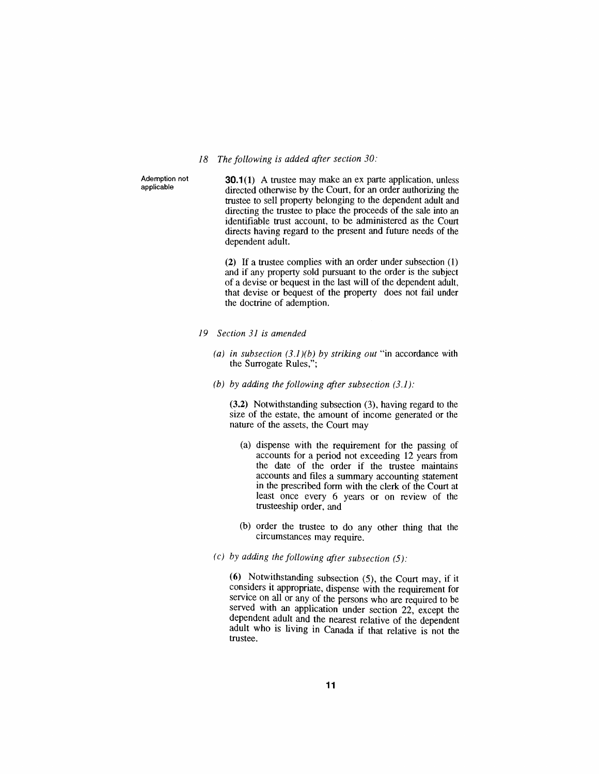#### *18 The following is added after section 30:*

*Ademption not applicable*

*30.1(1) A trustee may make an ex parte application, unless directed otherwise by the Court, for an order authorizing the trustee to sell property belonging to the dependent adult and directing the trustee to place the proceeds of the sale into an identifiable trust account, to be administered as the Court directs having regard to the present and future needs of the dependent adult.*

*(2) If a trustee complies with an order under subsection (1) and if any property sold pursuant to the order is the subject of a devise or bequest in the last will of the dependent adult, that devise or bequest of the property does not fail under the doctrine of ademption.*

- *19 Section 31 is amended*
	- *(a) in subsection (3.1)(b) by striking out "in accordance with the Surrogate Rules,";*
	- *(b) by adding the following after subsection (3.1):*

*(3.2) Notwithstanding subsection (3), having regard to the size of the estate, the amount of income generated or the nature of the assets, the Court may*

- *(a) dispense with the requirement for the passing of accounts for a period not exceeding 12 years from the date of the order if the trustee maintains accounts and files a summary accounting statement in the prescribed form with the clerk of the Court at least once every 6 years or on review of the trusteeship order, and*
- *(b) order the trustee to do any other thing that the circumstances may require.*
- *(c) by adding the following after subsection (5):*

*(6) Notwithstanding subsection (5), the Court may, if it considers it appropriate, dispense with the requirement for service on all or any of the persons who are required to be served with an application under section 22, except the dependent adult and the nearest relative of the dependent adult who is living in Canada if that relative is not the trustee.*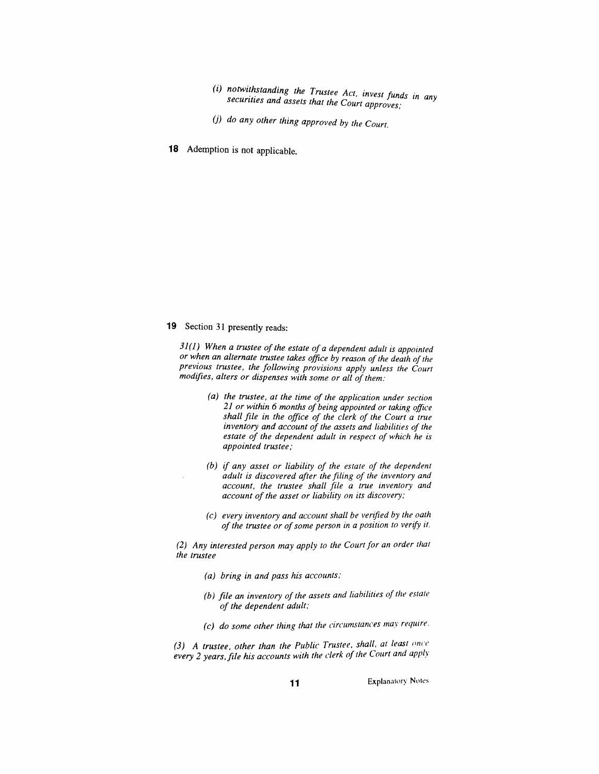- *(i) notwithstanding the Trustee Act, invest funds in any securities and assets that the Court approves;*
- *(j) do any other thing approved by the Court.*
- *18 Ademption is not applicable.*

## *19 Section 31 presently reads:*

*31(1) When a trustee ofthe estate ofa dependent adult is appointed or when an alternate trustee takes office by reason of the death ofthe previous trustee, the following provisions apply unless the Court modifies, alters or dispenses with some or all of them:*

- *(a) the trustee, at the time of the application under section 21 or within 6 months of being appointed or taking office shall file in the office of the clerk of the Court a true inventory and account of the assets and liabilities of the estate of the dependent adult in respect of which he is appointed trustee;*
- *(b) if any asset or liability of the estate of the dependent adult is discovered after the filing of the inventory and account, the trustee shall file a true inventory and account ofthe asset or liability on its discovery;*
- *(c) every inventory and account shall be verified by the oath ofthe trustee or ofsome person in a position to verify it.*

*(2) Any interested person may apply to the Courtfor an order that the trustee*

- *(a) bring in and pass his accounts;*
- *(b) file an inventory ofthe assets and liabilities of the estate of the dependent adult;*
- *(c) do some other thing that the circumstances may require.*

*(3) A trustee, other than the Public Trustee, shall, at least once every 2 years,file his accounts with the clerk of the Court and apply*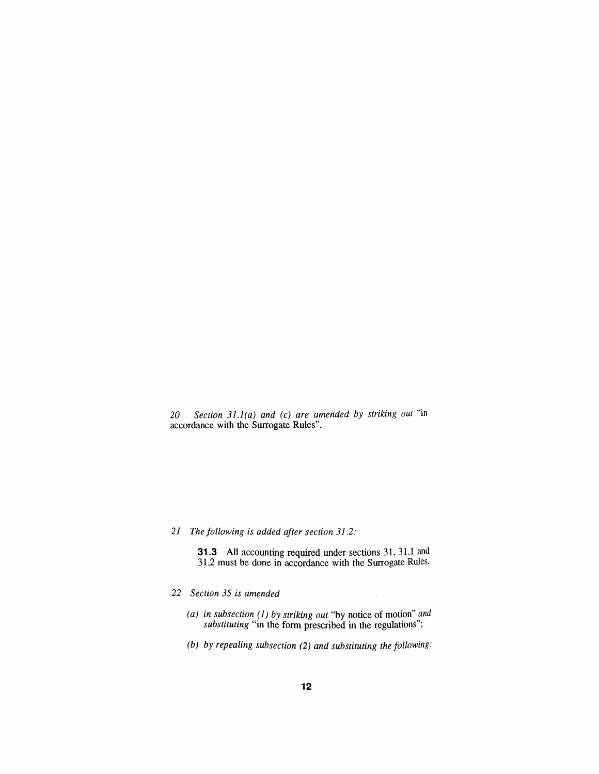*20 Section 31.1(a) and (c) are amended by striking out "in accordance with the Surrogate Rules".*

# *21 The following is added after section 31.2:*

*31.3 All accounting required under sections 31,31.1 and 31.2 must be done in accordance with the Surrogate Rules.*

- *22 Section 35 is amended*
	- *(a) in subsection (1) by striking out "by notice of motion" and substituting "in the form prescribed in the regulations";*
	- *(b) by repealing subsection (2) and substituting the following:*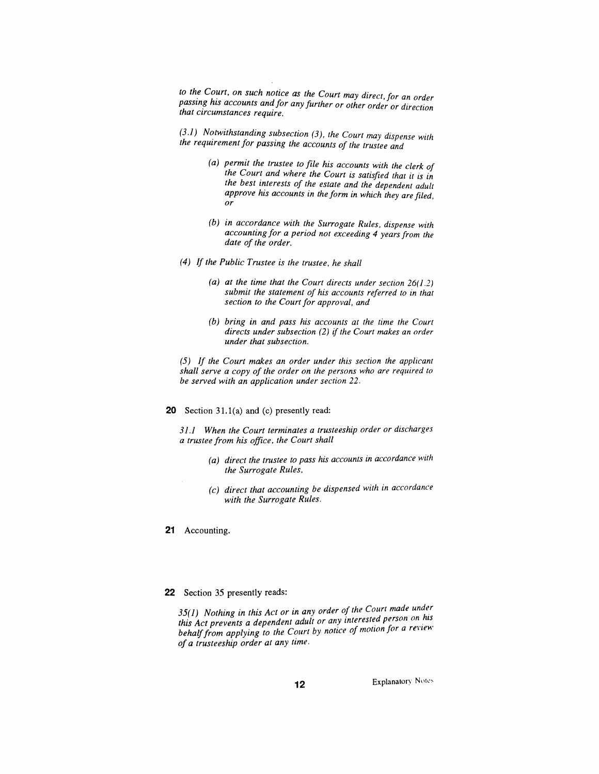*to the Court, on such notice as the Court may direct, for an order passing his accounts and for any further or other order or direction that circumstances require.*

*(3.1) Notwithstanding subsection (3), the Court may dispense with the requirementfor passing the accounts of the trustee and*

- *(a) permit the trustee to file his accounts with the clerk of the Court and where the Court is satisfied that it is in the best interests of the estate and the dependent adult approve his accounts in the form in which they are filed, or*
- *(b) in accordance with the Surrogate Rules, dispense with accounting for a period not exceeding 4 yearsfrom the date of the order.*
- *(4) If the Public Trustee is the trustee, he shall*
	- *(a) at the time that the Court directs under section 26(1.2) submit the statement of his accounts referred to in that section to the Courtfor approval, and*
	- *(b) bring in and pass his accounts at the time the Court directs under subsection (2) if the Court makes an order under that subsection.*

*(5) If the Court makes an order under this section the applicant shall serve a copy of the order on the persons who are required to be served with an application under section 22.*

*20 Section 31.1(a) and (c) presently read:*

*31.1 When the Court terminates a trusteeship order or discharges a trustee from his office, the Court shall*

- *(a) direct the trustee to pass his accounts in accordance with the Surrogate Rules,*
- *(c) direct that accounting be dispensed with in accordance with the Surrogate Rules.*

*21 Accounting.*

#### *22 Section 35 presently reads:*

*35(1) Nothing in this Act or in any order of the Court made under this Act prevents a dependent adult or any interested person on his behalffrom applying to the Court by notice of motion for a review of a trusteeship order at any time.*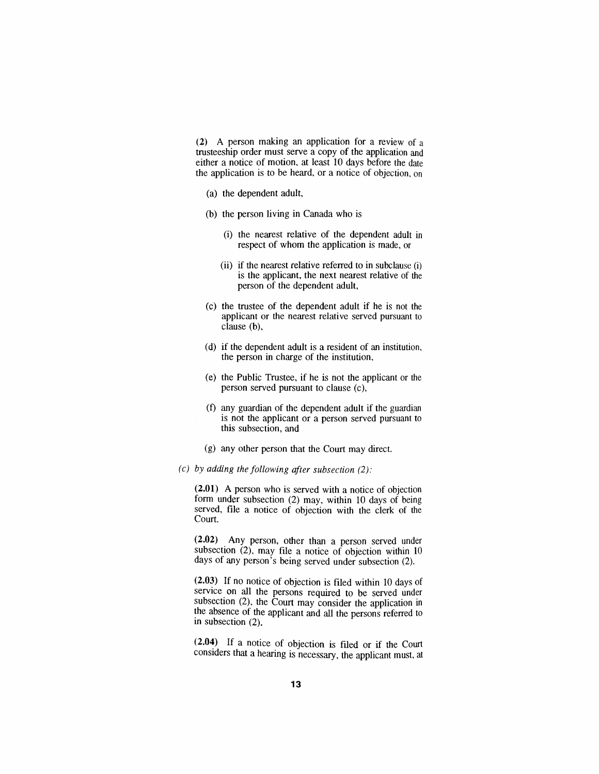*(2) A person making an application for a review of a trusteeship order must serve a copy of the application and either a notice of motion, at least 10 days before the date the application is to be heard, or a notice of objection, on*

- *(a) the dependent adult,*
- *(b) the person living in Canada who is*
	- *(i) the nearest relative of the dependent adult in respect of whom the application is made, or*
	- *(ii) if the nearest relative referred to in subclause (i) is the applicant, the next nearest relative of the person of the dependent adult,*
- *(c) the trustee of the dependent adult if he is not the applicant or the nearest relative served pursuant to clause (b),*
- *(d) if the dependent adult is a resident of an institution, the person in charge of the institution,*
- *(e) the Public Trustee, if he is not the applicant or the person served pursuant to clause (c),*
- *(f) any guardian of the dependent adult if the guardian is not the applicant or a person served pursuant to this subsection, and*
- *(g) any other person that the Court may direct.*
- *(c) by adding the following after subsection (2):*

*(2.01) A person who is served with a notice of objection form under subsection (2) may, within 10 days of being served, file a notice of objection with the clerk of the Court.*

*(2.02) Any person, other than a person served under subsection (2), may file a notice of objection within 10 days of any person's being served under subsection (2).*

*(2.03) If no notice of objection is filed within 10 days of service on all the persons required to be served under subsection (2), the Court may consider the application in the absence of the applicant and all the persons referred to in subsection (2).*

*(2.04) If a notice of objection is filed or if the Court considers that a hearing is necessary, the applicant must, at*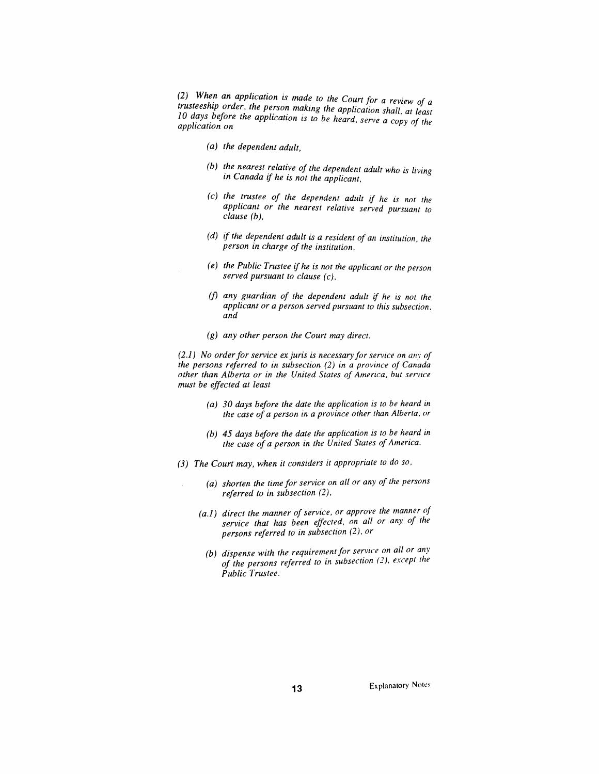*(2) When an application is made to the Court for a review of a trusteeship order the person making the application shall, at least 10 days before the application is to be heard, serve a copy of the application on*

- *(a) the dependent adult,*
- *(b) the nearest relative of the dependent adult who is living in Canada if he is not the applicant,*
- *(c) the trustee of the dependent adult if he is not the applicant or the nearest relative served pursuant to clause (b),*
- *(d) if the dependent adult is a resident of an institution, the person in charge of the institution,*
- *(e) the Public Trustee if he is not the applicant or the person served pursuant to clause (c),*
- *(f) any guardian of the dependent adult if he is not the applicant or a person served pursuant to this subsection, and*
- *(g) any other person the Court may direct.*

*(2.1) No orderfor service ex juris is necessary for service on any of the persons referred to in subsection (2) in a province of Canada other than Alberta or in the United States of America, but service must be effected at least*

- *(a) 30 days before the date the application is to be heard in the case of a person in a province other than Alberta, or*
- *(b) 45 days before the date the application is to be heard in the case of a person in the United States ofAmerica.*
- *(3) The Court may, when it considers it appropriate to do so,*
	- *(a) shorten the time for service on all or any of the persons referred to in subsection (2),*
	- *(a.1) direct the manner ofservice, or approve the manner of service that has been effected, on all or any of the persons referred to in subsection (2), or*
		- *(b) dispense with the requirement for service on all or any of the persons referred to in subsection (2), except the Public Trustee.*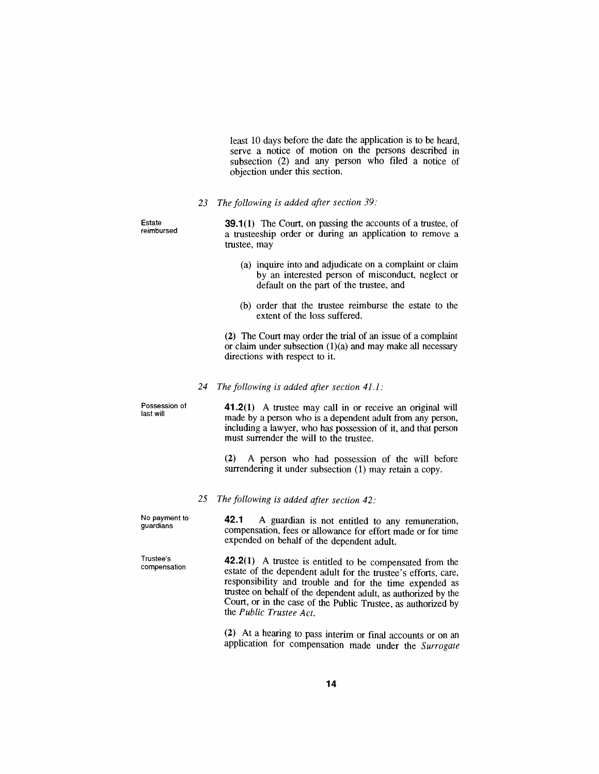*least 10 days before the date the application is to be heard, serve a notice of motion on the persons described in subsection (2) and any person who filed a notice of objection under this section.*

*23 The following is added after section 39:*

*Estate reimbursed 39.1(1) The Court, on passing the accounts of a trustee, of a trusteeship order or during an application to remove a trustee, may*

- *(a) inquire into and adjudicate on a complaint or claim by an interested person of misconduct, neglect or default on the part of the trustee, and*
- *(b) order that the trustee reimburse the estate to the extent of the loss suffered.*

*(2) The Court may order the trial of an issue of a complaint or claim under subsection (1)(a) and may make all necessary directions with respect to it.*

*24 The following is added after section 41.1:*

*Possession of last will 41.2(1) A trustee may call in or receive an original will made by a person who is a dependent adult from any person, including a lawyer, who has possession of it, and that person must surrender the will to the trustee.*

> *(2) A person who had possession of the will before surrendering it under subsection (1) may retain a copy.*

*25 The following is added after section 42:*

*Trustee's compensation*

*No payment to guardians 42.1 A guardian is not entitled to any remuneration, compensation, fees or allowance for effort made or for time expended on behalf of the dependent adult.*

> *42.2(1) A trustee is entitled to be compensated from the estate of the dependent adult for the trustee's efforts, care, responsibility and trouble and for the time expended as trustee on behalf of the dependent adult, as authorized by the Court, or in the case of the Public Trustee, as authorized by the Public Trustee Act.*

> > *(2) At a hearing to pass interim or final accounts or on an application for compensation made under the Surrogate*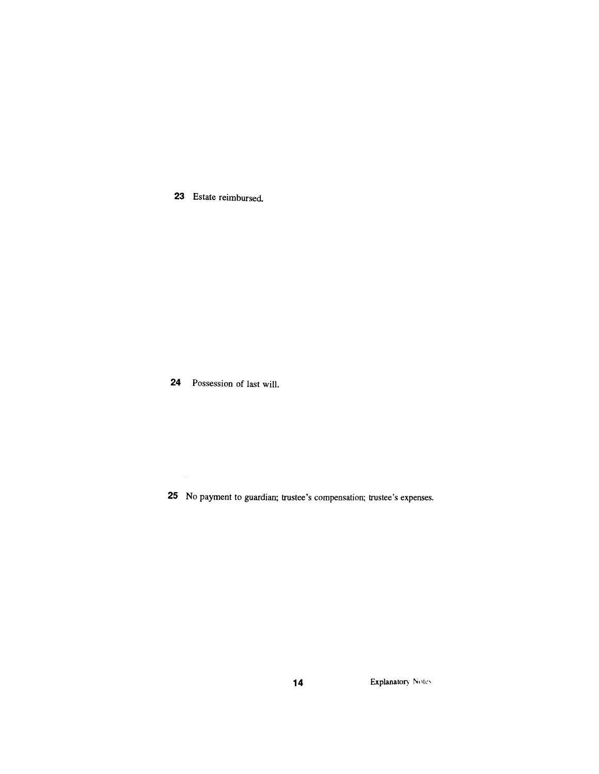*Estate reimbursed.*

*Possession of last will.*

*No payment to guardian; trustee's compensation; trustee's expenses*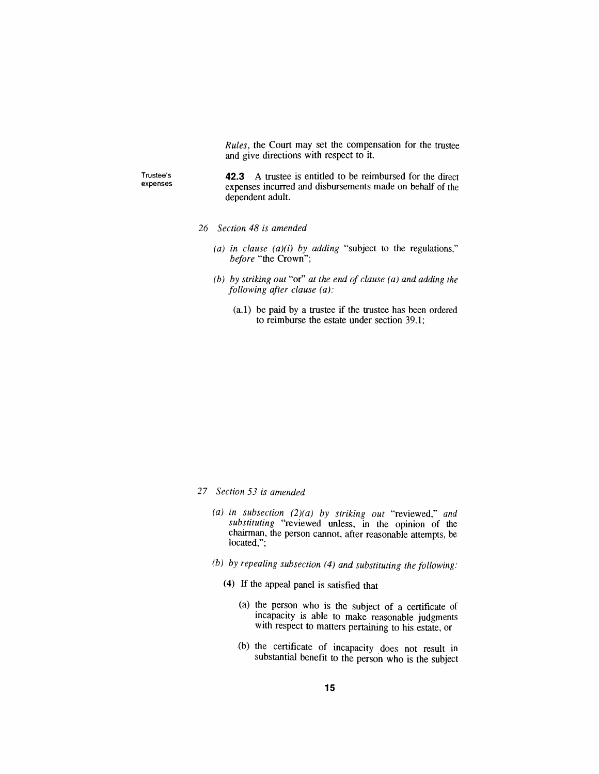*Rules, the Court may set the compensation for the trustee and give directions with respect to it.*

*Trustee's expenses*

*42.3 A trustee is entitled to be reimbursed for the direct expenses incurred and disbursements made on behalf of the dependent adult.*

- *26 Section 48 is amended*
	- *(a) in clause (a)(i) by adding "subject to the regulations," before "the Crown";*
	- *(b) by striking out "or" at the end of clause (a) and adding the following after clause (a):*
		- *(a.1) be paid by a trustee if the trustee has been ordered to reimburse the estate under section 39.1;*

- *27 Section 53 is amended*
	- *(a) in subsection (2)(a) by striking out "reviewed," and substituting "reviewed unless, in the opinion of the chairman, the person cannot, after reasonable attempts, be located,";*
	- *(b) by repealing subsection (4) and substituting the following:*
		- *(4) If the appeal panel is satisfied that*
			- *(a) the person who is the subject of a certificate of incapacity is able to make reasonable judgments with respect to matters pertaining to his estate, or*
			- *(b) the certificate of incapacity does not result in substantial benefit to the person who is the subject*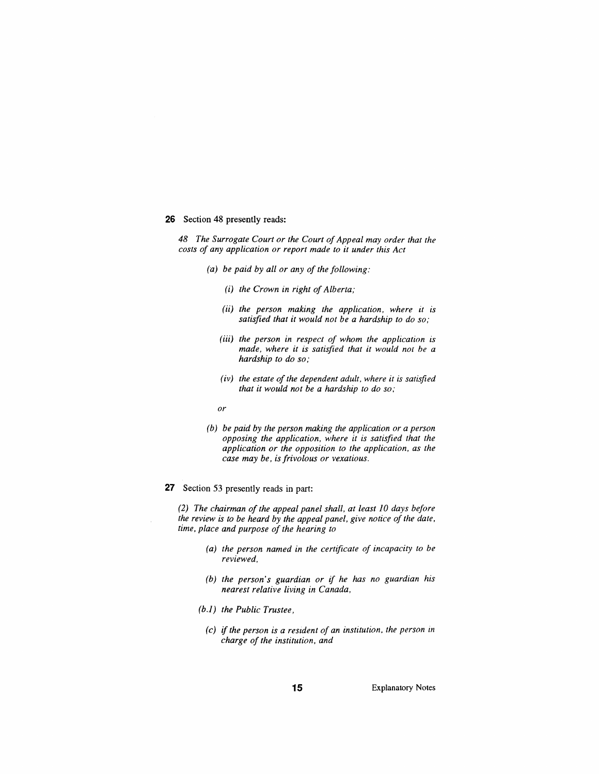#### *26 Section 48 presently reads:*

*48 The Surrogate Court or the Court ofAppeal may order that the costs of any application or report made to it under this Act*

- *(a) be paid by all or any of the following:*
	- *(i) the Crown in right ofAlberta;*
	- *(ii) the person making the application, where it is satisfied that it would not be a hardship to do so;*
	- *(iii) the person in respect of whom the application is made, where it is satisfied that it would not be a hardship to do so;*
	- *(iv) the estate of the dependent adult, where it is satisfied that it would not be a hardship to do so;*
	- *or*
- *(b) be paid by the person making the application or a person opposing the application, where it is satisfied that the application or the opposition to the application, as the case may be, isfrivolous or vexatious.*
- *27 Section 53 presently reads in part:*

*(2) The chairman of the appeal panel shall, at least 10 days before the review is to be heard by the appeal panel, give notice of the date, time, place and purpose of the hearing to*

- *(a) the person named in the certificate of incapacity to be reviewed,*
- *(b)* the person's guardian or if he has no guardian his *nearest relative living in Canada,*
- *(b.1) the Public Trustee,*
- *(c) if the person is a resident of an institution, the person in charge of the institution, and*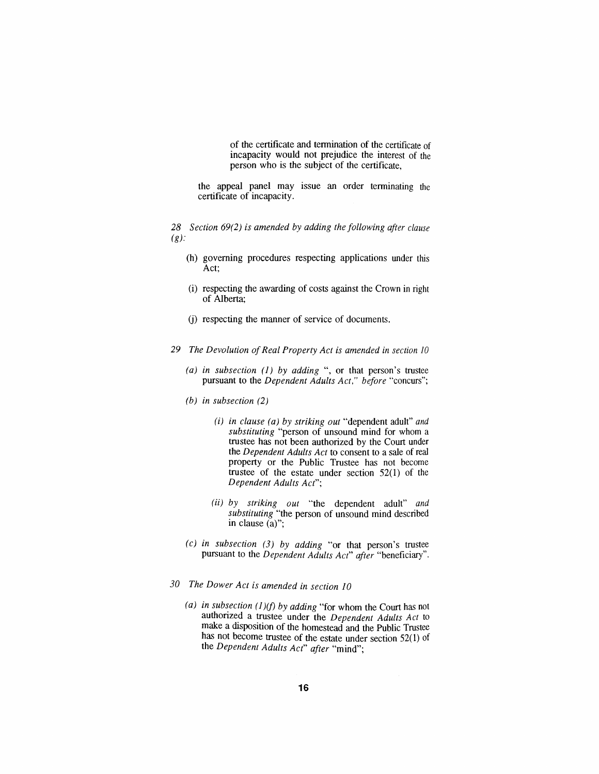*of the certificate and termination of the certificate of incapacity would not prejudice the interest of the person who is the subject of the certificate,*

*the appeal panel may issue an order terminating the certificate of incapacity.*

*28 Section 69(2) is amended by adding the following after clause (g):*

- *(h) governing procedures respecting applications under this Act;*
- *(i) respecting the awarding of costs against the Crown in right of Alberta;*
- *(j) respecting the manner of service of documents.*
- *29 The Devolution ofReal Property Act is amended in section <sup>10</sup>*
	- *(a) in subsection (1) by adding ", or that person's trustee pursuant to the Dependent Adults Act," before "concurs";*
	- *(b) in subsection (2)*
		- *(i) in clause (a) by striking out "dependent adult" and substituting "person of unsound mind for whom a trustee has not been authorized by the Court under the Dependent Adults Act to consent to a sale of real property or the Public Trustee has not become trustee of the estate under section 52(1) of the Dependent Adults Act";*
		- *(ii) by striking out "the dependent adult" and substituting "the person of unsound mind described in clause (a)";*
	- *(c) in subsection (3) by adding "or that person's trustee pursuant to the Dependent Adults Act" after "beneficiary".*
- *30 The Dower Act is amended in section 10*
	- *(a) in subsection (1)(f) by adding "for whom the Court has not authorized a trustee under the Dependent Adults Act to make a disposition of the homestead and the Public Trustee has not become trustee of the estate under section 52(1) of the Dependent Adults Act" after "mind";*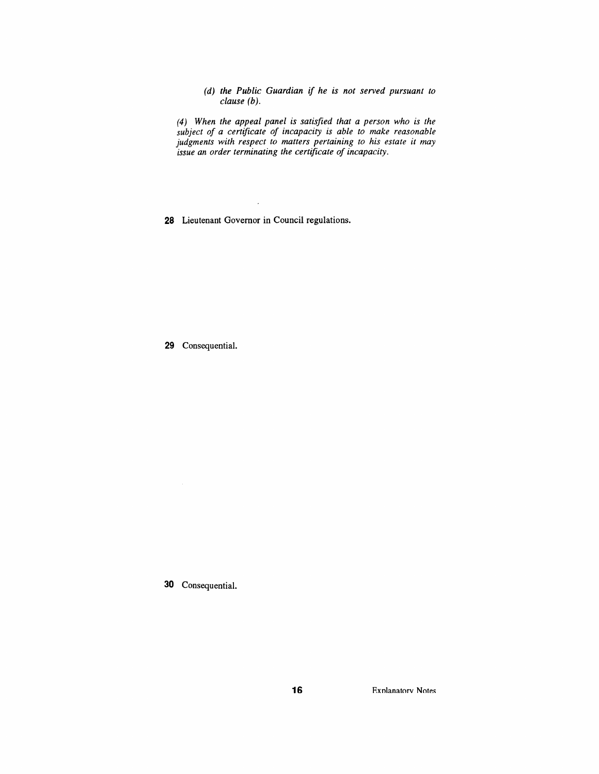*(d) the Public Guardian if he is not served pursuant to clause (b).*

*(4) When the appeal panel is satisfied that a person who is the subject of a certificate of incapacity is able to make reasonable judgments with respect to matters pertaining to his estate it may issue an order terminating the certificate of incapacity.*

 $\ddot{\phantom{a}}$ *28 Lieutenant Governor in Council regulations.*

*29 Consequential.*

*30 Consequential.*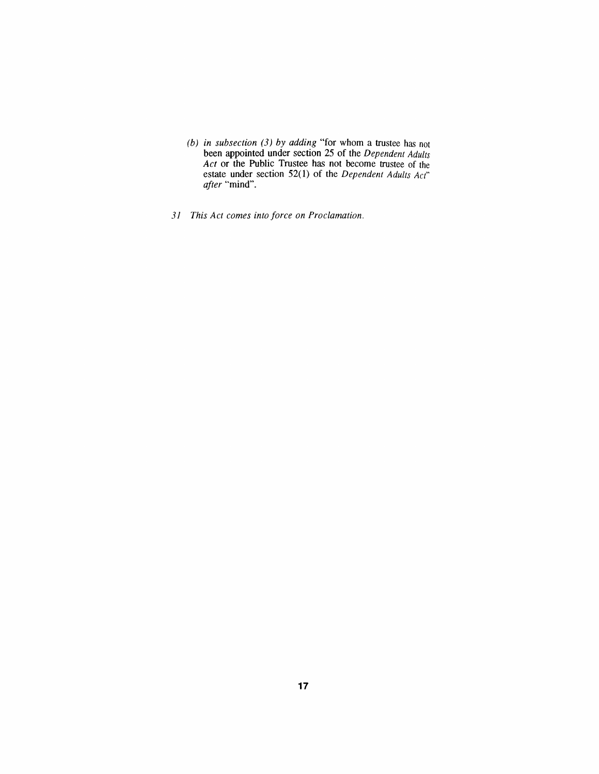- *(b) in subsection (3) by adding "for whom a trustee has not been appointed under section 25 of the Dependent Adults Act or the Public Trustee has not become trustee of the estate under section 52(1) of the Dependent Adults Act" after "mind".*
- *31 This Act comes into force on Proclamation.*